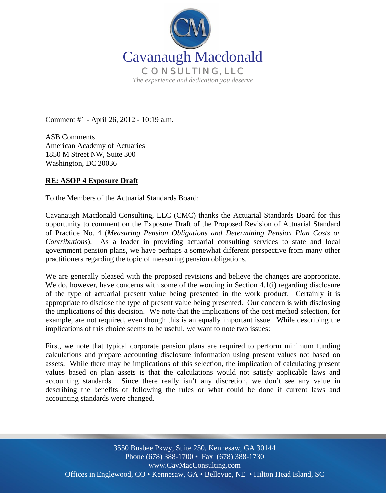

Comment #1 - April 26, 2012 - 10:19 a.m.

ASB Comments American Academy of Actuaries 1850 M Street NW, Suite 300 Washington, DC 20036

## **RE: ASOP 4 Exposure Draft**

To the Members of the Actuarial Standards Board:

Cavanaugh Macdonald Consulting, LLC (CMC) thanks the Actuarial Standards Board for this opportunity to comment on the Exposure Draft of the Proposed Revision of Actuarial Standard of Practice No. 4 (*Measuring Pension Obligations and Determining Pension Plan Costs or Contributions*). As a leader in providing actuarial consulting services to state and local government pension plans, we have perhaps a somewhat different perspective from many other practitioners regarding the topic of measuring pension obligations.

We are generally pleased with the proposed revisions and believe the changes are appropriate. We do, however, have concerns with some of the wording in Section 4.1(i) regarding disclosure of the type of actuarial present value being presented in the work product. Certainly it is appropriate to disclose the type of present value being presented. Our concern is with disclosing the implications of this decision. We note that the implications of the cost method selection, for example, are not required, even though this is an equally important issue. While describing the implications of this choice seems to be useful, we want to note two issues:

First, we note that typical corporate pension plans are required to perform minimum funding calculations and prepare accounting disclosure information using present values not based on assets. While there may be implications of this selection, the implication of calculating present values based on plan assets is that the calculations would not satisfy applicable laws and accounting standards. Since there really isn't any discretion, we don't see any value in describing the benefits of following the rules or what could be done if current laws and accounting standards were changed.

Offices in Englewood, CO • Kennesaw, GA • Bellevue, NE • Hilton Head Island, SC 3550 Busbee Pkwy, Suite 250, Kennesaw, GA 30144 Phone (678) 388-1700 • Fax (678) 388-1730 www.CavMacConsulting.com